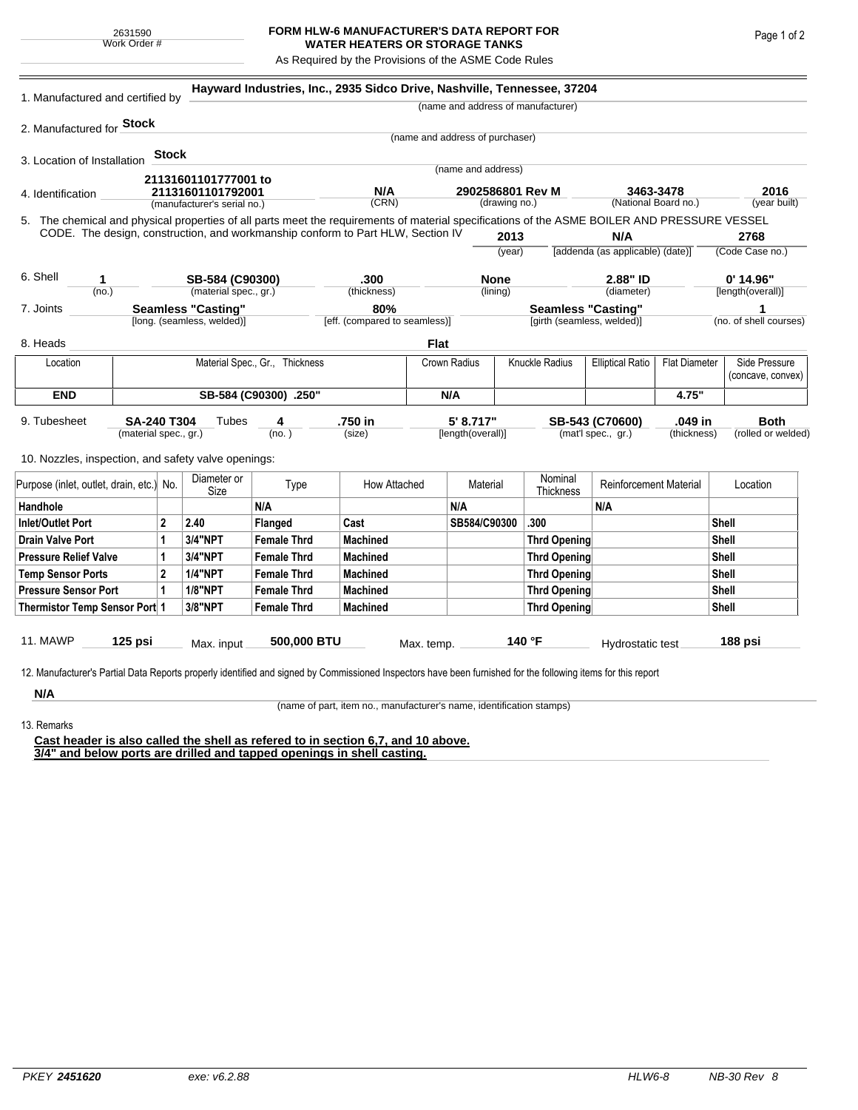## **FORM HLW-6 MANUFACTURER'S DATA REPORT FOR WATER HEATERS OR STORAGE TANKS**

As Required by the Provisions of the ASME Code Rules

| 1. Manufactured and certified by                                                                                                                              |                       |                             |                            |                                                                                    | Hayward Industries, Inc., 2935 Sidco Drive, Nashville, Tennessee, 37204 |                                 |                |           |                                       |                                      |              |                   |                        |
|---------------------------------------------------------------------------------------------------------------------------------------------------------------|-----------------------|-----------------------------|----------------------------|------------------------------------------------------------------------------------|-------------------------------------------------------------------------|---------------------------------|----------------|-----------|---------------------------------------|--------------------------------------|--------------|-------------------|------------------------|
|                                                                                                                                                               |                       |                             |                            |                                                                                    |                                                                         |                                 |                |           | (name and address of manufacturer)    |                                      |              |                   |                        |
| 2. Manufactured for Stock                                                                                                                                     |                       |                             |                            |                                                                                    |                                                                         |                                 |                |           |                                       |                                      |              |                   |                        |
|                                                                                                                                                               |                       |                             |                            |                                                                                    |                                                                         | (name and address of purchaser) |                |           |                                       |                                      |              |                   |                        |
| 3. Location of Installation                                                                                                                                   |                       | <b>Stock</b>                |                            |                                                                                    |                                                                         |                                 |                |           |                                       |                                      |              |                   |                        |
|                                                                                                                                                               |                       |                             | 21131601101777001 to       |                                                                                    |                                                                         | (name and address)              |                |           |                                       |                                      |              |                   |                        |
| 4. Identification                                                                                                                                             | 21131601101792001     |                             |                            | N/A<br>2902586801 Rev M                                                            |                                                                         |                                 |                |           |                                       | 3463-3478                            |              | 2016              |                        |
|                                                                                                                                                               |                       | (manufacturer's serial no.) |                            |                                                                                    | (CRN)                                                                   | (drawing no.)                   |                |           |                                       | (National Board no.)<br>(year built) |              |                   |                        |
| 5. The chemical and physical properties of all parts meet the requirements of material specifications of the ASME BOILER AND PRESSURE VESSEL                  |                       |                             |                            |                                                                                    |                                                                         |                                 |                |           |                                       |                                      |              |                   |                        |
| CODE. The design, construction, and workmanship conform to Part HLW, Section IV                                                                               |                       |                             |                            |                                                                                    |                                                                         |                                 |                | 2013      |                                       | N/A                                  |              |                   | 2768                   |
|                                                                                                                                                               |                       |                             |                            |                                                                                    |                                                                         |                                 |                | (year)    |                                       | [addenda (as applicable) (date)]     |              |                   | (Code Case no.)        |
| 6. Shell<br>1                                                                                                                                                 |                       |                             |                            |                                                                                    | .300                                                                    |                                 |                |           |                                       | 2.88" ID                             |              |                   | $0'$ 14.96"            |
| (no.)                                                                                                                                                         |                       |                             |                            | SB-584 (C90300)<br><b>None</b><br>(material spec., gr.)<br>(lining)<br>(thickness) |                                                                         |                                 | (diameter)     |           | [length(overall)]                     |                                      |              |                   |                        |
| 7. Joints                                                                                                                                                     |                       |                             | <b>Seamless "Casting"</b>  |                                                                                    | 80%                                                                     |                                 |                |           |                                       | <b>Seamless "Casting"</b>            |              | 1                 |                        |
|                                                                                                                                                               |                       |                             | [long. (seamless, welded)] |                                                                                    | [eff. (compared to seamless)]                                           |                                 |                |           | [girth (seamless, welded)]            |                                      |              |                   | (no. of shell courses) |
| 8. Heads                                                                                                                                                      |                       |                             |                            |                                                                                    |                                                                         | Flat                            |                |           |                                       |                                      |              |                   |                        |
| Material Spec., Gr., Thickness<br>Location                                                                                                                    |                       |                             |                            | Crown Radius                                                                       |                                                                         |                                 | Knuckle Radius |           | <b>Elliptical Ratio</b>               | <b>Flat Diameter</b>                 |              | Side Pressure     |                        |
|                                                                                                                                                               |                       |                             |                            |                                                                                    |                                                                         |                                 |                |           |                                       |                                      |              | (concave, convex) |                        |
| <b>END</b>                                                                                                                                                    | SB-584 (C90300) .250" |                             |                            |                                                                                    |                                                                         |                                 | N/A            |           |                                       |                                      | 4.75"        |                   |                        |
| 9. Tubesheet                                                                                                                                                  | <b>SA-240 T304</b>    |                             | Tubes                      | 4                                                                                  | .750 in                                                                 |                                 | 5' 8.717"      |           |                                       |                                      | .049 in      |                   | <b>Both</b>            |
| (material spec., gr.)                                                                                                                                         |                       |                             | (no. )                     |                                                                                    | (size)                                                                  | [length(overall)]               |                |           | SB-543 (C70600)<br>(mat'l spec., gr.) |                                      | (thickness)  |                   | (rolled or welded)     |
|                                                                                                                                                               |                       |                             |                            |                                                                                    |                                                                         |                                 |                |           |                                       |                                      |              |                   |                        |
| 10. Nozzles, inspection, and safety valve openings:                                                                                                           |                       |                             |                            |                                                                                    |                                                                         |                                 |                |           |                                       |                                      |              |                   |                        |
| Purpose (inlet, outlet, drain, etc.) No.                                                                                                                      |                       |                             | Diameter or                | Type                                                                               | How Attached                                                            | Material                        |                |           | Nominal                               | <b>Reinforcement Material</b>        |              | Location          |                        |
|                                                                                                                                                               |                       |                             | Size                       | N/A                                                                                |                                                                         |                                 |                | Thickness | N/A                                   |                                      |              |                   |                        |
| Handhole                                                                                                                                                      |                       |                             |                            |                                                                                    |                                                                         |                                 | N/A            |           |                                       |                                      |              |                   |                        |
| <b>Inlet/Outlet Port</b><br>2                                                                                                                                 |                       |                             | 2.40                       | Flanged                                                                            | Cast                                                                    |                                 | SB584/C90300   |           | .300                                  |                                      |              | Shell             |                        |
| <b>Drain Valve Port</b>                                                                                                                                       |                       | 1                           | 3/4"NPT                    | <b>Female Thrd</b>                                                                 | <b>Machined</b>                                                         |                                 |                |           | <b>Thrd Opening</b>                   |                                      |              | Shell             |                        |
| <b>Pressure Relief Valve</b>                                                                                                                                  | 1                     |                             | 3/4"NPT                    | <b>Female Thrd</b>                                                                 | <b>Machined</b>                                                         |                                 |                |           | <b>Thrd Opening</b>                   |                                      |              | Shell             |                        |
| <b>Temp Sensor Ports</b>                                                                                                                                      |                       | $\mathbf{2}$                | <b>1/4"NPT</b>             | <b>Female Thrd</b>                                                                 | <b>Machined</b>                                                         |                                 |                |           | <b>Thrd Opening</b>                   |                                      | <b>Shell</b> |                   |                        |
| <b>Pressure Sensor Port</b>                                                                                                                                   |                       | $\mathbf{1}$                | 1/8"NPT                    | <b>Female Thrd</b>                                                                 | <b>Machined</b>                                                         |                                 |                |           | <b>Thrd Opening</b>                   |                                      |              | Shell             |                        |
| Thermistor Temp Sensor Port 1                                                                                                                                 |                       |                             | 3/8"NPT                    | <b>Female Thrd</b>                                                                 | <b>Machined</b>                                                         |                                 |                |           | <b>Thrd Opening</b>                   |                                      |              | Shell             |                        |
|                                                                                                                                                               |                       |                             |                            |                                                                                    |                                                                         |                                 |                |           |                                       |                                      |              |                   |                        |
| 11. MAWP<br>125 psi                                                                                                                                           |                       |                             | 500,000 BTU<br>Max. input  |                                                                                    |                                                                         | Max. temp.                      |                | 140 °F    |                                       | Hydrostatic test                     |              | 188 psi           |                        |
|                                                                                                                                                               |                       |                             |                            |                                                                                    |                                                                         |                                 |                |           |                                       |                                      |              |                   |                        |
| 12. Manufacturer's Partial Data Reports properly identified and signed by Commissioned Inspectors have been furnished for the following items for this report |                       |                             |                            |                                                                                    |                                                                         |                                 |                |           |                                       |                                      |              |                   |                        |
| N/A                                                                                                                                                           |                       |                             |                            |                                                                                    |                                                                         |                                 |                |           |                                       |                                      |              |                   |                        |

13. Remarks

(name of part, item no., manufacturer's name, identification stamps)

**Cast header is also called the shell as refered to in section 6,7, and 10 above. 3/4" and below ports are drilled and tapped openings in shell casting.**